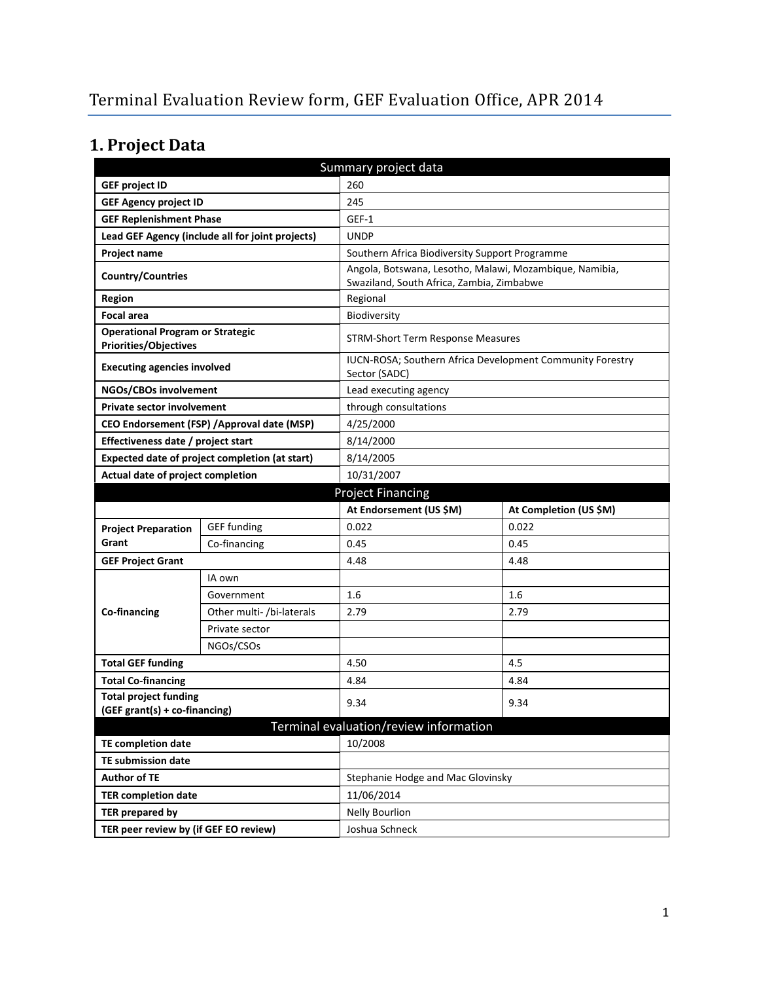# **1. Project Data**

| Summary project data                                                    |                                                  |                                                                                                      |                                                           |  |  |
|-------------------------------------------------------------------------|--------------------------------------------------|------------------------------------------------------------------------------------------------------|-----------------------------------------------------------|--|--|
| 260<br><b>GEF project ID</b>                                            |                                                  |                                                                                                      |                                                           |  |  |
| <b>GEF Agency project ID</b>                                            |                                                  | 245                                                                                                  |                                                           |  |  |
| <b>GEF Replenishment Phase</b>                                          |                                                  | GEF-1                                                                                                |                                                           |  |  |
|                                                                         | Lead GEF Agency (include all for joint projects) | <b>UNDP</b>                                                                                          |                                                           |  |  |
| Project name                                                            |                                                  | Southern Africa Biodiversity Support Programme                                                       |                                                           |  |  |
| <b>Country/Countries</b>                                                |                                                  | Angola, Botswana, Lesotho, Malawi, Mozambique, Namibia,<br>Swaziland, South Africa, Zambia, Zimbabwe |                                                           |  |  |
| <b>Region</b>                                                           |                                                  | Regional                                                                                             |                                                           |  |  |
| <b>Focal area</b>                                                       |                                                  | Biodiversity                                                                                         |                                                           |  |  |
| <b>Operational Program or Strategic</b><br><b>Priorities/Objectives</b> |                                                  |                                                                                                      | <b>STRM-Short Term Response Measures</b>                  |  |  |
| <b>Executing agencies involved</b>                                      |                                                  | Sector (SADC)                                                                                        | IUCN-ROSA; Southern Africa Development Community Forestry |  |  |
| NGOs/CBOs involvement                                                   |                                                  | Lead executing agency                                                                                |                                                           |  |  |
| <b>Private sector involvement</b>                                       |                                                  | through consultations                                                                                |                                                           |  |  |
|                                                                         | CEO Endorsement (FSP) / Approval date (MSP)      | 4/25/2000                                                                                            |                                                           |  |  |
| Effectiveness date / project start                                      |                                                  | 8/14/2000                                                                                            |                                                           |  |  |
|                                                                         | Expected date of project completion (at start)   | 8/14/2005                                                                                            |                                                           |  |  |
| Actual date of project completion                                       |                                                  | 10/31/2007                                                                                           |                                                           |  |  |
|                                                                         |                                                  | <b>Project Financing</b>                                                                             |                                                           |  |  |
|                                                                         |                                                  |                                                                                                      |                                                           |  |  |
|                                                                         |                                                  | At Endorsement (US \$M)                                                                              | At Completion (US \$M)                                    |  |  |
| <b>Project Preparation</b>                                              | <b>GEF</b> funding                               | 0.022                                                                                                | 0.022                                                     |  |  |
| Grant                                                                   | Co-financing                                     | 0.45                                                                                                 | 0.45                                                      |  |  |
| <b>GEF Project Grant</b>                                                |                                                  | 4.48                                                                                                 | 4.48                                                      |  |  |
|                                                                         | IA own                                           |                                                                                                      |                                                           |  |  |
|                                                                         | Government                                       | 1.6                                                                                                  | 1.6                                                       |  |  |
| Co-financing                                                            | Other multi- /bi-laterals                        | 2.79                                                                                                 | 2.79                                                      |  |  |
|                                                                         | Private sector                                   |                                                                                                      |                                                           |  |  |
|                                                                         | NGOs/CSOs                                        |                                                                                                      |                                                           |  |  |
| <b>Total GEF funding</b>                                                |                                                  | 4.50                                                                                                 | 4.5                                                       |  |  |
| <b>Total Co-financing</b>                                               |                                                  | 4.84                                                                                                 | 4.84                                                      |  |  |
| <b>Total project funding</b>                                            |                                                  |                                                                                                      |                                                           |  |  |
| (GEF grant(s) + co-financing)                                           |                                                  | 9.34                                                                                                 | 9.34                                                      |  |  |
|                                                                         |                                                  | Terminal evaluation/review information                                                               |                                                           |  |  |
| TE completion date                                                      |                                                  | 10/2008                                                                                              |                                                           |  |  |
| <b>TE submission date</b>                                               |                                                  |                                                                                                      |                                                           |  |  |
| <b>Author of TE</b>                                                     |                                                  | Stephanie Hodge and Mac Glovinsky                                                                    |                                                           |  |  |
| <b>TER completion date</b>                                              |                                                  | 11/06/2014                                                                                           |                                                           |  |  |
| <b>TER prepared by</b><br>TER peer review by (if GEF EO review)         |                                                  | <b>Nelly Bourlion</b><br>Joshua Schneck                                                              |                                                           |  |  |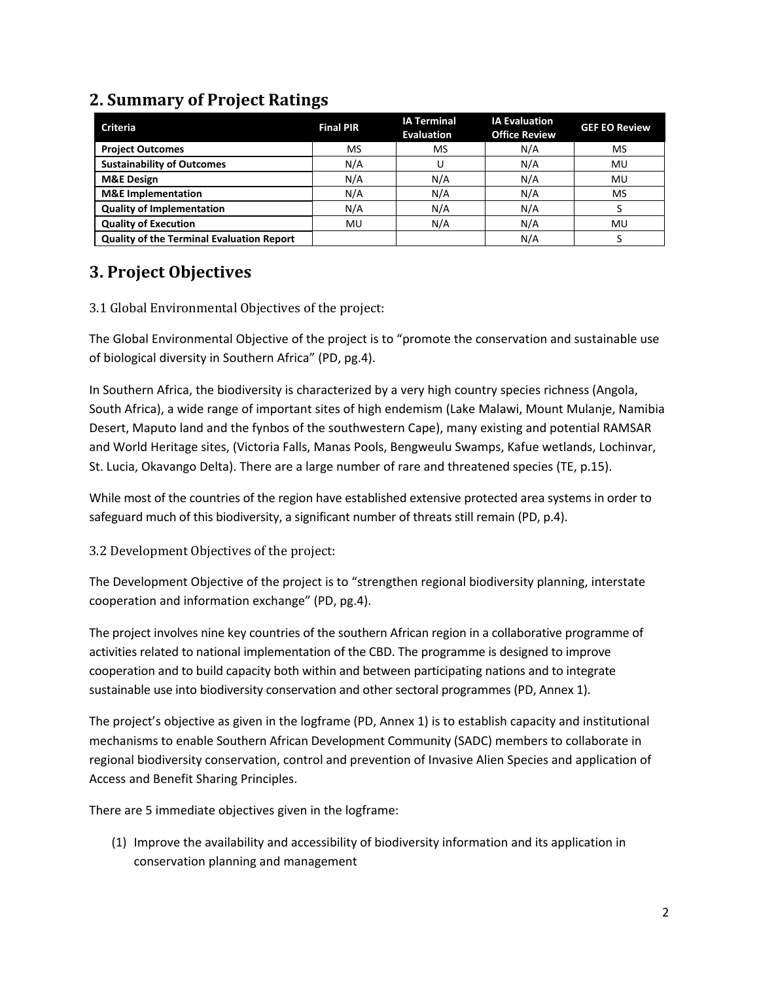# **2. Summary of Project Ratings**

| <b>Criteria</b>                                  | <b>Final PIR</b> | <b>IA Terminal</b><br><b>Evaluation</b> | <b>IA Evaluation</b><br><b>Office Review</b> | <b>GEF EO Review</b> |
|--------------------------------------------------|------------------|-----------------------------------------|----------------------------------------------|----------------------|
| <b>Project Outcomes</b>                          | MS               | MS                                      | N/A                                          | MS                   |
| <b>Sustainability of Outcomes</b>                | N/A              |                                         | N/A                                          | MU                   |
| <b>M&amp;E Design</b>                            | N/A              | N/A                                     | N/A                                          | MU                   |
| <b>M&amp;E</b> Implementation                    | N/A              | N/A                                     | N/A                                          | MS                   |
| <b>Quality of Implementation</b>                 | N/A              | N/A                                     | N/A                                          |                      |
| <b>Quality of Execution</b>                      | MU               | N/A                                     | N/A                                          | MU                   |
| <b>Quality of the Terminal Evaluation Report</b> |                  |                                         | N/A                                          |                      |

# **3. Project Objectives**

3.1 Global Environmental Objectives of the project:

The Global Environmental Objective of the project is to "promote the conservation and sustainable use of biological diversity in Southern Africa" (PD, pg.4).

In Southern Africa, the biodiversity is characterized by a very high country species richness (Angola, South Africa), a wide range of important sites of high endemism (Lake Malawi, Mount Mulanje, Namibia Desert, Maputo land and the fynbos of the southwestern Cape), many existing and potential RAMSAR and World Heritage sites, (Victoria Falls, Manas Pools, Bengweulu Swamps, Kafue wetlands, Lochinvar, St. Lucia, Okavango Delta). There are a large number of rare and threatened species (TE, p.15).

While most of the countries of the region have established extensive protected area systems in order to safeguard much of this biodiversity, a significant number of threats still remain (PD, p.4).

3.2 Development Objectives of the project:

The Development Objective of the project is to "strengthen regional biodiversity planning, interstate cooperation and information exchange" (PD, pg.4).

The project involves nine key countries of the southern African region in a collaborative programme of activities related to national implementation of the CBD. The programme is designed to improve cooperation and to build capacity both within and between participating nations and to integrate sustainable use into biodiversity conservation and other sectoral programmes (PD, Annex 1).

The project's objective as given in the logframe (PD, Annex 1) is to establish capacity and institutional mechanisms to enable Southern African Development Community (SADC) members to collaborate in regional biodiversity conservation, control and prevention of Invasive Alien Species and application of Access and Benefit Sharing Principles.

There are 5 immediate objectives given in the logframe:

(1) Improve the availability and accessibility of biodiversity information and its application in conservation planning and management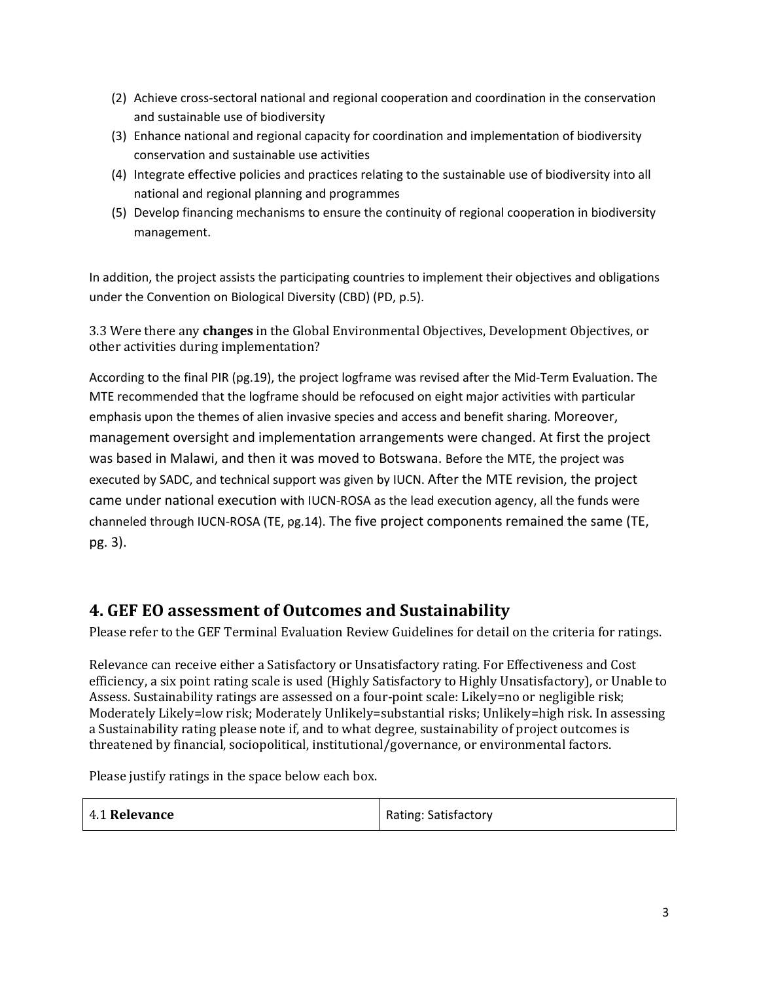- (2) Achieve cross-sectoral national and regional cooperation and coordination in the conservation and sustainable use of biodiversity
- (3) Enhance national and regional capacity for coordination and implementation of biodiversity conservation and sustainable use activities
- (4) Integrate effective policies and practices relating to the sustainable use of biodiversity into all national and regional planning and programmes
- (5) Develop financing mechanisms to ensure the continuity of regional cooperation in biodiversity management.

In addition, the project assists the participating countries to implement their objectives and obligations under the Convention on Biological Diversity (CBD) (PD, p.5).

3.3 Were there any **changes** in the Global Environmental Objectives, Development Objectives, or other activities during implementation?

According to the final PIR (pg.19), the project logframe was revised after the Mid-Term Evaluation. The MTE recommended that the logframe should be refocused on eight major activities with particular emphasis upon the themes of alien invasive species and access and benefit sharing. Moreover, management oversight and implementation arrangements were changed. At first the project was based in Malawi, and then it was moved to Botswana. Before the MTE, the project was executed by SADC, and technical support was given by IUCN. After the MTE revision, the project came under national execution with IUCN-ROSA as the lead execution agency, all the funds were channeled through IUCN-ROSA (TE, pg.14). The five project components remained the same (TE, pg. 3).

# **4. GEF EO assessment of Outcomes and Sustainability**

Please refer to the GEF Terminal Evaluation Review Guidelines for detail on the criteria for ratings.

Relevance can receive either a Satisfactory or Unsatisfactory rating. For Effectiveness and Cost efficiency, a six point rating scale is used (Highly Satisfactory to Highly Unsatisfactory), or Unable to Assess. Sustainability ratings are assessed on a four-point scale: Likely=no or negligible risk; Moderately Likely=low risk; Moderately Unlikely=substantial risks; Unlikely=high risk. In assessing a Sustainability rating please note if, and to what degree, sustainability of project outcomes is threatened by financial, sociopolitical, institutional/governance, or environmental factors.

Please justify ratings in the space below each box.

| 4.1 Relevance | <b>Rating: Satisfactory</b> |
|---------------|-----------------------------|
|---------------|-----------------------------|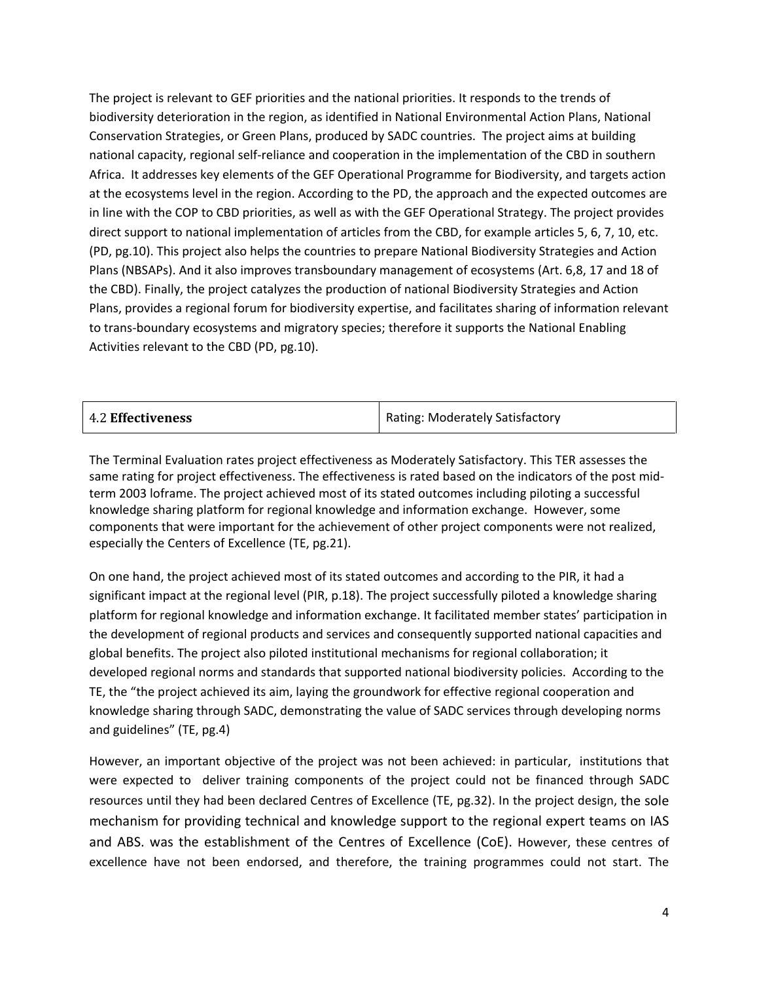The project is relevant to GEF priorities and the national priorities. It responds to the trends of biodiversity deterioration in the region, as identified in National Environmental Action Plans, National Conservation Strategies, or Green Plans, produced by SADC countries. The project aims at building national capacity, regional self-reliance and cooperation in the implementation of the CBD in southern Africa. It addresses key elements of the GEF Operational Programme for Biodiversity, and targets action at the ecosystems level in the region. According to the PD, the approach and the expected outcomes are in line with the COP to CBD priorities, as well as with the GEF Operational Strategy. The project provides direct support to national implementation of articles from the CBD, for example articles 5, 6, 7, 10, etc. (PD, pg.10). This project also helps the countries to prepare National Biodiversity Strategies and Action Plans (NBSAPs). And it also improves transboundary management of ecosystems (Art. 6,8, 17 and 18 of the CBD). Finally, the project catalyzes the production of national Biodiversity Strategies and Action Plans, provides a regional forum for biodiversity expertise, and facilitates sharing of information relevant to trans-boundary ecosystems and migratory species; therefore it supports the National Enabling Activities relevant to the CBD (PD, pg.10).

|  | <b>4.2 Effectiveness</b> | Rating: Moderately Satisfactory |
|--|--------------------------|---------------------------------|
|--|--------------------------|---------------------------------|

The Terminal Evaluation rates project effectiveness as Moderately Satisfactory. This TER assesses the same rating for project effectiveness. The effectiveness is rated based on the indicators of the post midterm 2003 loframe. The project achieved most of its stated outcomes including piloting a successful knowledge sharing platform for regional knowledge and information exchange. However, some components that were important for the achievement of other project components were not realized, especially the Centers of Excellence (TE, pg.21).

On one hand, the project achieved most of its stated outcomes and according to the PIR, it had a significant impact at the regional level (PIR, p.18). The project successfully piloted a knowledge sharing platform for regional knowledge and information exchange. It facilitated member states' participation in the development of regional products and services and consequently supported national capacities and global benefits. The project also piloted institutional mechanisms for regional collaboration; it developed regional norms and standards that supported national biodiversity policies. According to the TE, the "the project achieved its aim, laying the groundwork for effective regional cooperation and knowledge sharing through SADC, demonstrating the value of SADC services through developing norms and guidelines" (TE, pg.4)

However, an important objective of the project was not been achieved: in particular, institutions that were expected to deliver training components of the project could not be financed through SADC resources until they had been declared Centres of Excellence (TE, pg.32). In the project design, the sole mechanism for providing technical and knowledge support to the regional expert teams on IAS and ABS. was the establishment of the Centres of Excellence (CoE). However, these centres of excellence have not been endorsed, and therefore, the training programmes could not start. The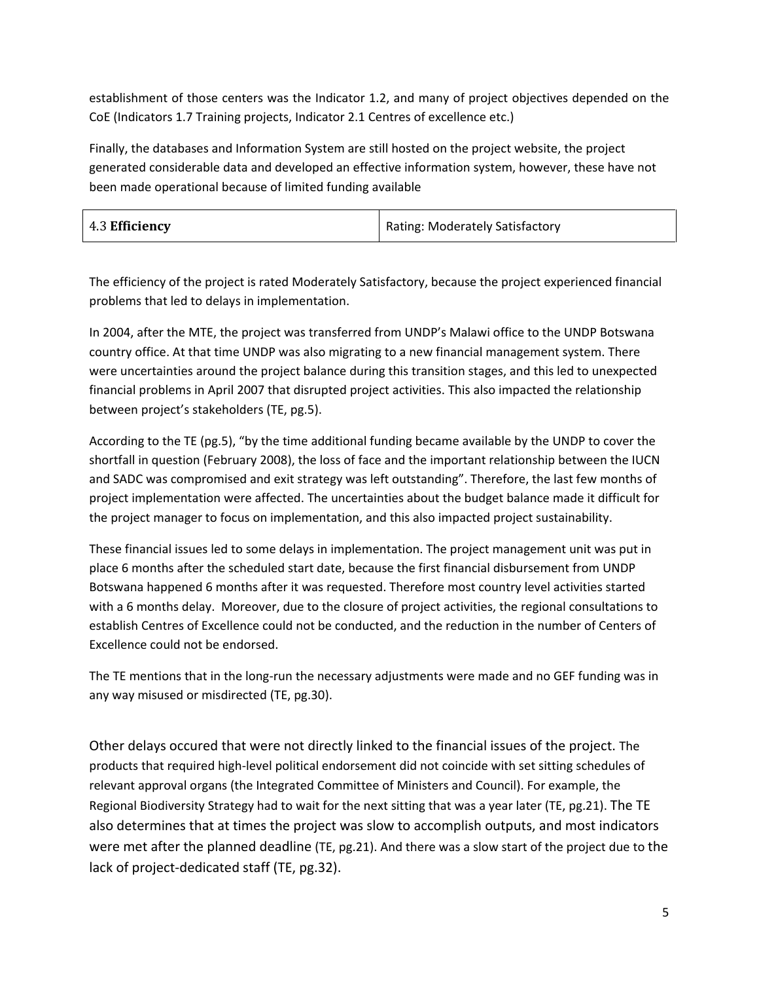establishment of those centers was the Indicator 1.2, and many of project objectives depended on the CoE (Indicators 1.7 Training projects, Indicator 2.1 Centres of excellence etc.)

Finally, the databases and Information System are still hosted on the project website, the project generated considerable data and developed an effective information system, however, these have not been made operational because of limited funding available

| 4.3 Efficiency | Rating: Moderately Satisfactory |
|----------------|---------------------------------|
|----------------|---------------------------------|

The efficiency of the project is rated Moderately Satisfactory, because the project experienced financial problems that led to delays in implementation.

In 2004, after the MTE, the project was transferred from UNDP's Malawi office to the UNDP Botswana country office. At that time UNDP was also migrating to a new financial management system. There were uncertainties around the project balance during this transition stages, and this led to unexpected financial problems in April 2007 that disrupted project activities. This also impacted the relationship between project's stakeholders (TE, pg.5).

According to the TE (pg.5), "by the time additional funding became available by the UNDP to cover the shortfall in question (February 2008), the loss of face and the important relationship between the IUCN and SADC was compromised and exit strategy was left outstanding". Therefore, the last few months of project implementation were affected. The uncertainties about the budget balance made it difficult for the project manager to focus on implementation, and this also impacted project sustainability.

These financial issues led to some delays in implementation. The project management unit was put in place 6 months after the scheduled start date, because the first financial disbursement from UNDP Botswana happened 6 months after it was requested. Therefore most country level activities started with a 6 months delay. Moreover, due to the closure of project activities, the regional consultations to establish Centres of Excellence could not be conducted, and the reduction in the number of Centers of Excellence could not be endorsed.

The TE mentions that in the long-run the necessary adjustments were made and no GEF funding was in any way misused or misdirected (TE, pg.30).

Other delays occured that were not directly linked to the financial issues of the project. The products that required high-level political endorsement did not coincide with set sitting schedules of relevant approval organs (the Integrated Committee of Ministers and Council). For example, the Regional Biodiversity Strategy had to wait for the next sitting that was a year later (TE, pg.21). The TE also determines that at times the project was slow to accomplish outputs, and most indicators were met after the planned deadline (TE, pg.21). And there was a slow start of the project due to the lack of project-dedicated staff (TE, pg.32).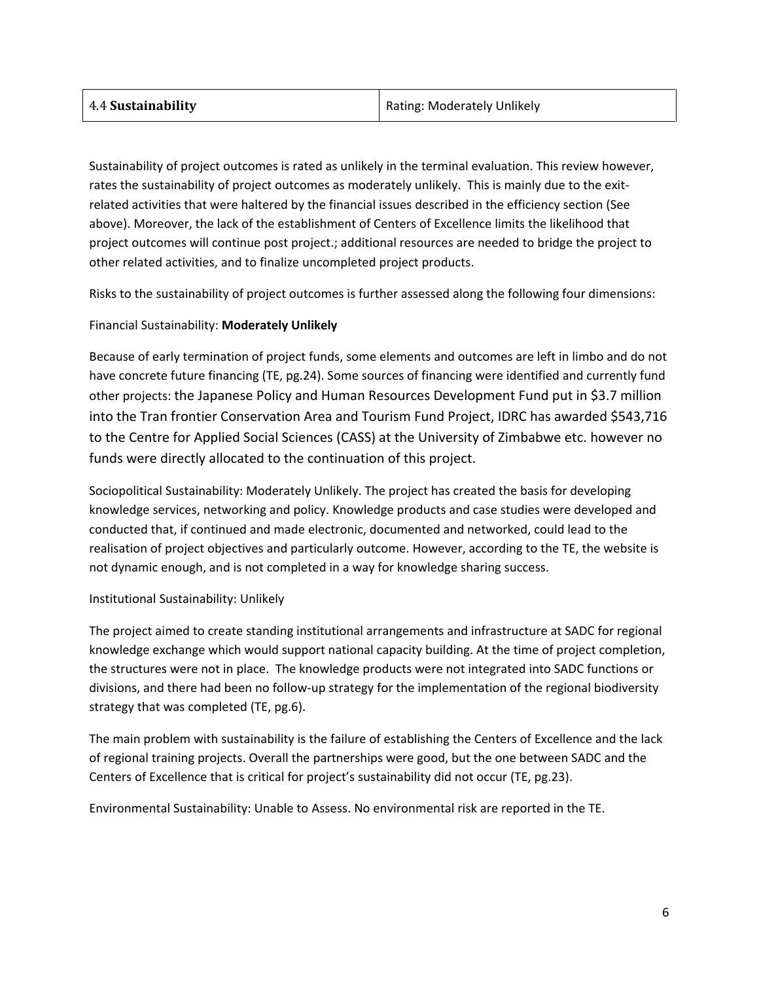| Rating: Moderately Unlikely |
|-----------------------------|
|                             |

Sustainability of project outcomes is rated as unlikely in the terminal evaluation. This review however, rates the sustainability of project outcomes as moderately unlikely. This is mainly due to the exitrelated activities that were haltered by the financial issues described in the efficiency section (See above). Moreover, the lack of the establishment of Centers of Excellence limits the likelihood that project outcomes will continue post project.; additional resources are needed to bridge the project to other related activities, and to finalize uncompleted project products.

Risks to the sustainability of project outcomes is further assessed along the following four dimensions:

#### Financial Sustainability: **Moderately Unlikely**

Because of early termination of project funds, some elements and outcomes are left in limbo and do not have concrete future financing (TE, pg.24). Some sources of financing were identified and currently fund other projects: the Japanese Policy and Human Resources Development Fund put in \$3.7 million into the Tran frontier Conservation Area and Tourism Fund Project, IDRC has awarded \$543,716 to the Centre for Applied Social Sciences (CASS) at the University of Zimbabwe etc. however no funds were directly allocated to the continuation of this project.

Sociopolitical Sustainability: Moderately Unlikely. The project has created the basis for developing knowledge services, networking and policy. Knowledge products and case studies were developed and conducted that, if continued and made electronic, documented and networked, could lead to the realisation of project objectives and particularly outcome. However, according to the TE, the website is not dynamic enough, and is not completed in a way for knowledge sharing success.

#### Institutional Sustainability: Unlikely

The project aimed to create standing institutional arrangements and infrastructure at SADC for regional knowledge exchange which would support national capacity building. At the time of project completion, the structures were not in place. The knowledge products were not integrated into SADC functions or divisions, and there had been no follow-up strategy for the implementation of the regional biodiversity strategy that was completed (TE, pg.6).

The main problem with sustainability is the failure of establishing the Centers of Excellence and the lack of regional training projects. Overall the partnerships were good, but the one between SADC and the Centers of Excellence that is critical for project's sustainability did not occur (TE, pg.23).

Environmental Sustainability: Unable to Assess. No environmental risk are reported in the TE.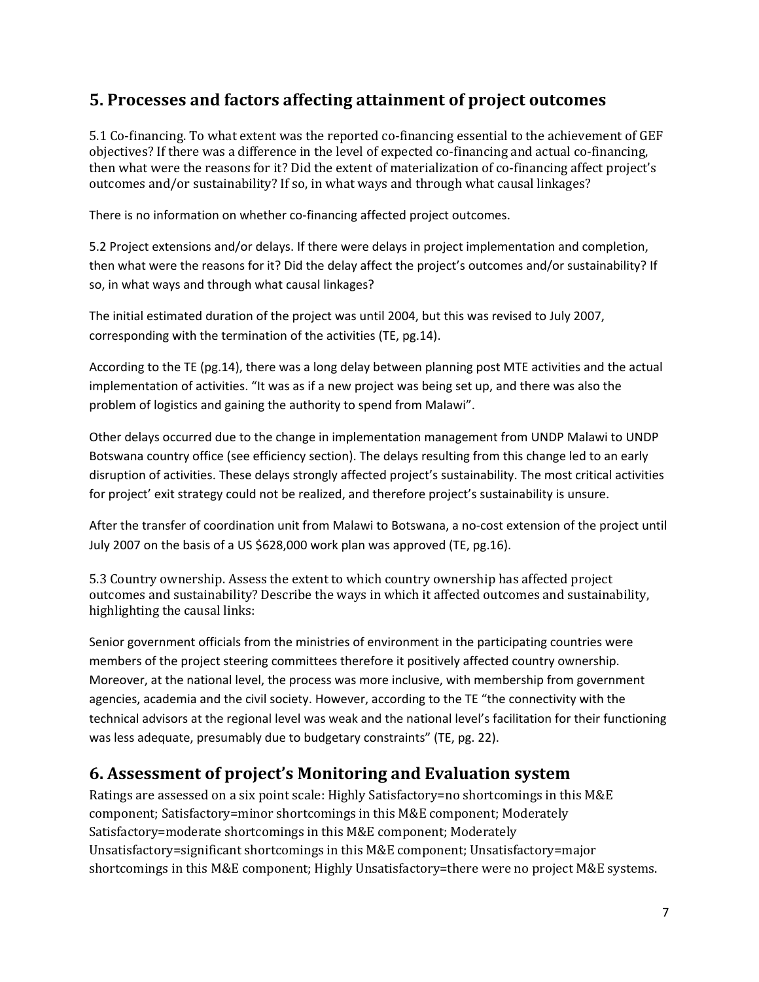# **5. Processes and factors affecting attainment of project outcomes**

5.1 Co-financing. To what extent was the reported co-financing essential to the achievement of GEF objectives? If there was a difference in the level of expected co-financing and actual co-financing, then what were the reasons for it? Did the extent of materialization of co-financing affect project's outcomes and/or sustainability? If so, in what ways and through what causal linkages?

There is no information on whether co-financing affected project outcomes.

5.2 Project extensions and/or delays. If there were delays in project implementation and completion, then what were the reasons for it? Did the delay affect the project's outcomes and/or sustainability? If so, in what ways and through what causal linkages?

The initial estimated duration of the project was until 2004, but this was revised to July 2007, corresponding with the termination of the activities (TE, pg.14).

According to the TE (pg.14), there was a long delay between planning post MTE activities and the actual implementation of activities. "It was as if a new project was being set up, and there was also the problem of logistics and gaining the authority to spend from Malawi".

Other delays occurred due to the change in implementation management from UNDP Malawi to UNDP Botswana country office (see efficiency section). The delays resulting from this change led to an early disruption of activities. These delays strongly affected project's sustainability. The most critical activities for project' exit strategy could not be realized, and therefore project's sustainability is unsure.

After the transfer of coordination unit from Malawi to Botswana, a no-cost extension of the project until July 2007 on the basis of a US \$628,000 work plan was approved (TE, pg.16).

5.3 Country ownership. Assess the extent to which country ownership has affected project outcomes and sustainability? Describe the ways in which it affected outcomes and sustainability, highlighting the causal links:

Senior government officials from the ministries of environment in the participating countries were members of the project steering committees therefore it positively affected country ownership. Moreover, at the national level, the process was more inclusive, with membership from government agencies, academia and the civil society. However, according to the TE "the connectivity with the technical advisors at the regional level was weak and the national level's facilitation for their functioning was less adequate, presumably due to budgetary constraints" (TE, pg. 22).

### **6. Assessment of project's Monitoring and Evaluation system**

Ratings are assessed on a six point scale: Highly Satisfactory=no shortcomings in this M&E component; Satisfactory=minor shortcomings in this M&E component; Moderately Satisfactory=moderate shortcomings in this M&E component; Moderately Unsatisfactory=significant shortcomings in this M&E component; Unsatisfactory=major shortcomings in this M&E component; Highly Unsatisfactory=there were no project M&E systems.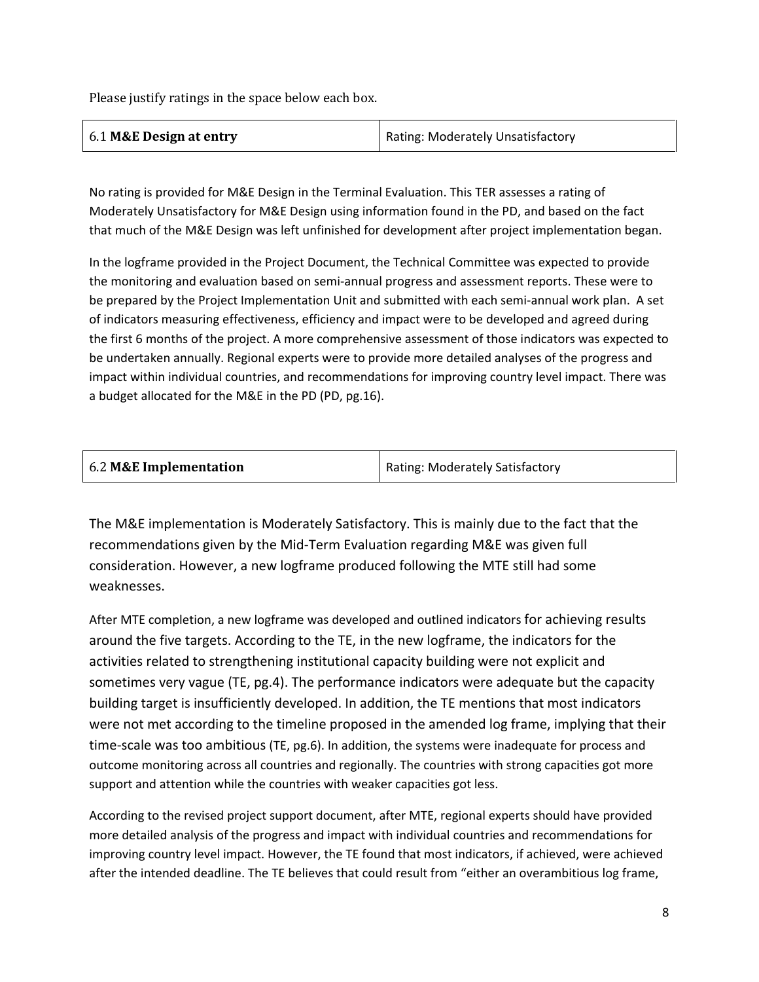Please justify ratings in the space below each box.

| 6.1 M&E Design at entry | Rating: Moderately Unsatisfactory |
|-------------------------|-----------------------------------|
|                         |                                   |

No rating is provided for M&E Design in the Terminal Evaluation. This TER assesses a rating of Moderately Unsatisfactory for M&E Design using information found in the PD, and based on the fact that much of the M&E Design was left unfinished for development after project implementation began.

In the logframe provided in the Project Document, the Technical Committee was expected to provide the monitoring and evaluation based on semi-annual progress and assessment reports. These were to be prepared by the Project Implementation Unit and submitted with each semi-annual work plan. A set of indicators measuring effectiveness, efficiency and impact were to be developed and agreed during the first 6 months of the project. A more comprehensive assessment of those indicators was expected to be undertaken annually. Regional experts were to provide more detailed analyses of the progress and impact within individual countries, and recommendations for improving country level impact. There was a budget allocated for the M&E in the PD (PD, pg.16).

| 6.2 M&E Implementation | Rating: Moderately Satisfactory |
|------------------------|---------------------------------|
|                        |                                 |

The M&E implementation is Moderately Satisfactory. This is mainly due to the fact that the recommendations given by the Mid-Term Evaluation regarding M&E was given full consideration. However, a new logframe produced following the MTE still had some weaknesses.

After MTE completion, a new logframe was developed and outlined indicators for achieving results around the five targets. According to the TE, in the new logframe, the indicators for the activities related to strengthening institutional capacity building were not explicit and sometimes very vague (TE, pg.4). The performance indicators were adequate but the capacity building target is insufficiently developed. In addition, the TE mentions that most indicators were not met according to the timeline proposed in the amended log frame, implying that their time-scale was too ambitious (TE, pg.6). In addition, the systems were inadequate for process and outcome monitoring across all countries and regionally. The countries with strong capacities got more support and attention while the countries with weaker capacities got less.

According to the revised project support document, after MTE, regional experts should have provided more detailed analysis of the progress and impact with individual countries and recommendations for improving country level impact. However, the TE found that most indicators, if achieved, were achieved after the intended deadline. The TE believes that could result from "either an overambitious log frame,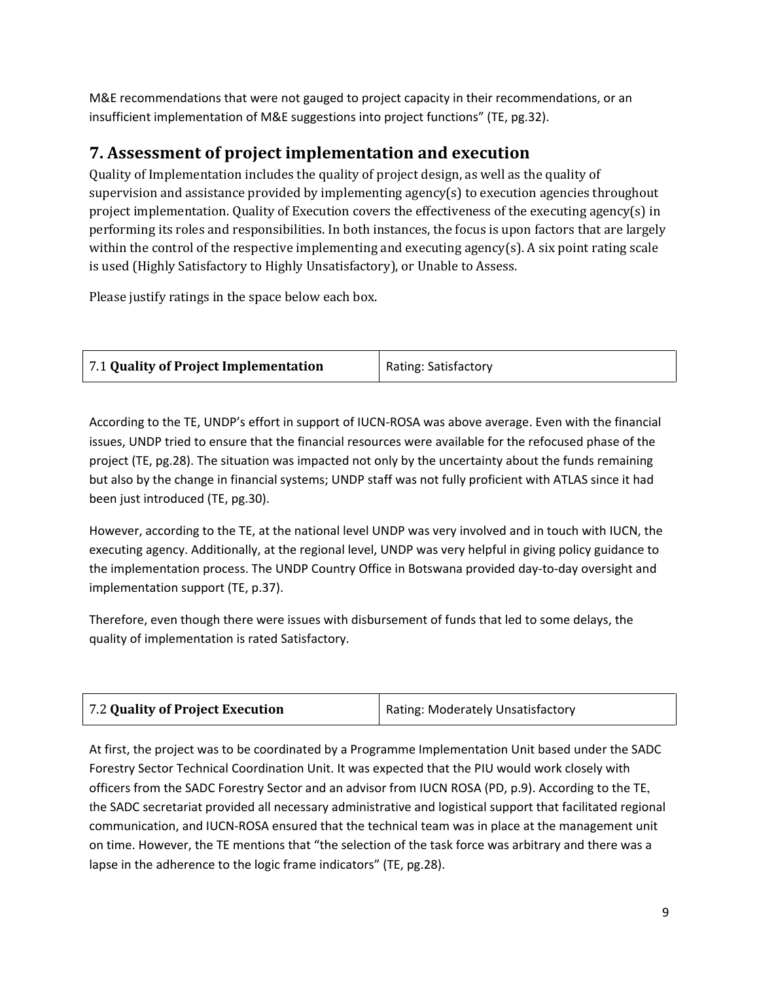M&E recommendations that were not gauged to project capacity in their recommendations, or an insufficient implementation of M&E suggestions into project functions" (TE, pg.32).

# **7. Assessment of project implementation and execution**

Quality of Implementation includes the quality of project design, as well as the quality of supervision and assistance provided by implementing agency(s) to execution agencies throughout project implementation. Quality of Execution covers the effectiveness of the executing agency(s) in performing its roles and responsibilities. In both instances, the focus is upon factors that are largely within the control of the respective implementing and executing agency(s). A six point rating scale is used (Highly Satisfactory to Highly Unsatisfactory), or Unable to Assess.

Please justify ratings in the space below each box.

| 7.1 Quality of Project Implementation | Rating: Satisfactory |
|---------------------------------------|----------------------|
|                                       |                      |

According to the TE, UNDP's effort in support of IUCN-ROSA was above average. Even with the financial issues, UNDP tried to ensure that the financial resources were available for the refocused phase of the project (TE, pg.28). The situation was impacted not only by the uncertainty about the funds remaining but also by the change in financial systems; UNDP staff was not fully proficient with ATLAS since it had been just introduced (TE, pg.30).

However, according to the TE, at the national level UNDP was very involved and in touch with IUCN, the executing agency. Additionally, at the regional level, UNDP was very helpful in giving policy guidance to the implementation process. The UNDP Country Office in Botswana provided day-to-day oversight and implementation support (TE, p.37).

Therefore, even though there were issues with disbursement of funds that led to some delays, the quality of implementation is rated Satisfactory.

| 7.2 Quality of Project Execution | Rating: Moderately Unsatisfactory |
|----------------------------------|-----------------------------------|
|----------------------------------|-----------------------------------|

At first, the project was to be coordinated by a Programme Implementation Unit based under the SADC Forestry Sector Technical Coordination Unit. It was expected that the PIU would work closely with officers from the SADC Forestry Sector and an advisor from IUCN ROSA (PD, p.9). According to the TE, the SADC secretariat provided all necessary administrative and logistical support that facilitated regional communication, and IUCN-ROSA ensured that the technical team was in place at the management unit on time. However, the TE mentions that "the selection of the task force was arbitrary and there was a lapse in the adherence to the logic frame indicators" (TE, pg.28).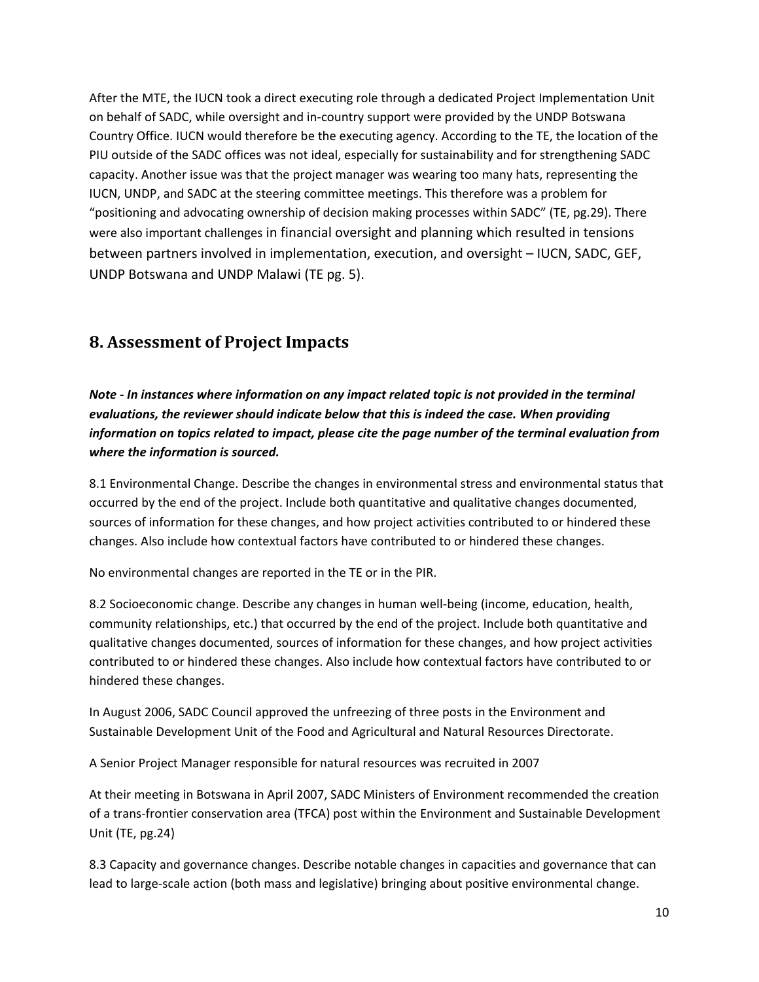After the MTE, the IUCN took a direct executing role through a dedicated Project Implementation Unit on behalf of SADC, while oversight and in-country support were provided by the UNDP Botswana Country Office. IUCN would therefore be the executing agency. According to the TE, the location of the PIU outside of the SADC offices was not ideal, especially for sustainability and for strengthening SADC capacity. Another issue was that the project manager was wearing too many hats, representing the IUCN, UNDP, and SADC at the steering committee meetings. This therefore was a problem for "positioning and advocating ownership of decision making processes within SADC" (TE, pg.29). There were also important challenges in financial oversight and planning which resulted in tensions between partners involved in implementation, execution, and oversight – IUCN, SADC, GEF, UNDP Botswana and UNDP Malawi (TE pg. 5).

### **8. Assessment of Project Impacts**

*Note - In instances where information on any impact related topic is not provided in the terminal evaluations, the reviewer should indicate below that this is indeed the case. When providing information on topics related to impact, please cite the page number of the terminal evaluation from where the information is sourced.* 

8.1 Environmental Change. Describe the changes in environmental stress and environmental status that occurred by the end of the project. Include both quantitative and qualitative changes documented, sources of information for these changes, and how project activities contributed to or hindered these changes. Also include how contextual factors have contributed to or hindered these changes.

No environmental changes are reported in the TE or in the PIR.

8.2 Socioeconomic change. Describe any changes in human well-being (income, education, health, community relationships, etc.) that occurred by the end of the project. Include both quantitative and qualitative changes documented, sources of information for these changes, and how project activities contributed to or hindered these changes. Also include how contextual factors have contributed to or hindered these changes.

In August 2006, SADC Council approved the unfreezing of three posts in the Environment and Sustainable Development Unit of the Food and Agricultural and Natural Resources Directorate.

A Senior Project Manager responsible for natural resources was recruited in 2007

At their meeting in Botswana in April 2007, SADC Ministers of Environment recommended the creation of a trans-frontier conservation area (TFCA) post within the Environment and Sustainable Development Unit (TE, pg.24)

8.3 Capacity and governance changes. Describe notable changes in capacities and governance that can lead to large-scale action (both mass and legislative) bringing about positive environmental change.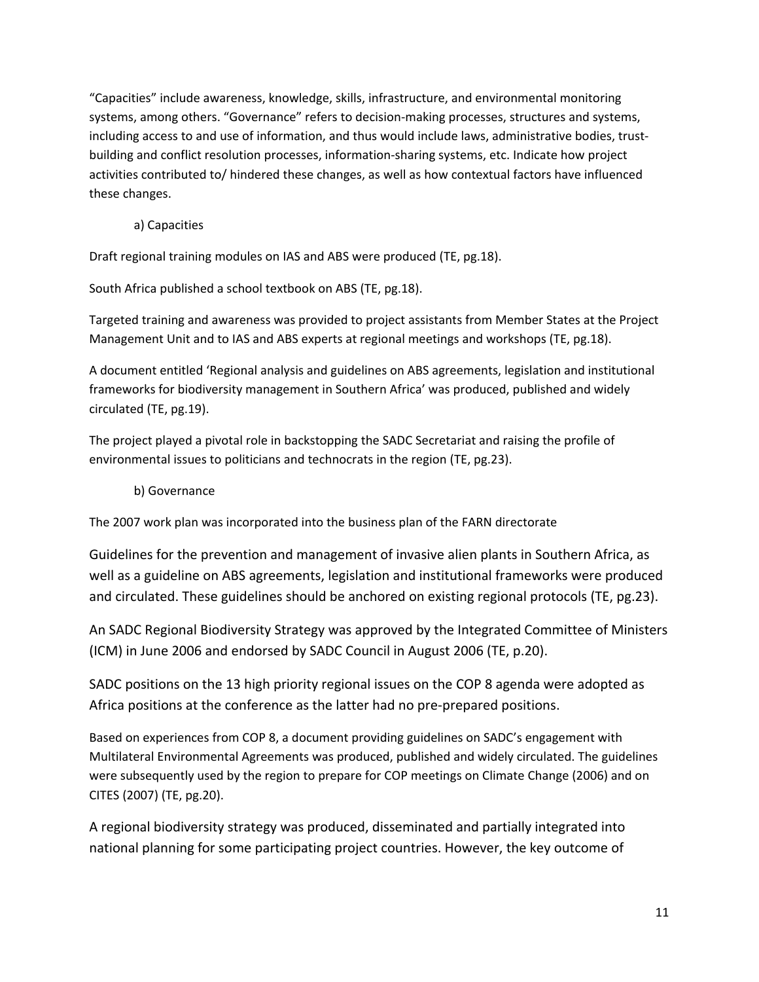"Capacities" include awareness, knowledge, skills, infrastructure, and environmental monitoring systems, among others. "Governance" refers to decision-making processes, structures and systems, including access to and use of information, and thus would include laws, administrative bodies, trustbuilding and conflict resolution processes, information-sharing systems, etc. Indicate how project activities contributed to/ hindered these changes, as well as how contextual factors have influenced these changes.

a) Capacities

Draft regional training modules on IAS and ABS were produced (TE, pg.18).

South Africa published a school textbook on ABS (TE, pg.18).

Targeted training and awareness was provided to project assistants from Member States at the Project Management Unit and to IAS and ABS experts at regional meetings and workshops (TE, pg.18).

A document entitled 'Regional analysis and guidelines on ABS agreements, legislation and institutional frameworks for biodiversity management in Southern Africa' was produced, published and widely circulated (TE, pg.19).

The project played a pivotal role in backstopping the SADC Secretariat and raising the profile of environmental issues to politicians and technocrats in the region (TE, pg.23).

#### b) Governance

The 2007 work plan was incorporated into the business plan of the FARN directorate

Guidelines for the prevention and management of invasive alien plants in Southern Africa, as well as a guideline on ABS agreements, legislation and institutional frameworks were produced and circulated. These guidelines should be anchored on existing regional protocols (TE, pg.23).

An SADC Regional Biodiversity Strategy was approved by the Integrated Committee of Ministers (ICM) in June 2006 and endorsed by SADC Council in August 2006 (TE, p.20).

SADC positions on the 13 high priority regional issues on the COP 8 agenda were adopted as Africa positions at the conference as the latter had no pre-prepared positions.

Based on experiences from COP 8, a document providing guidelines on SADC's engagement with Multilateral Environmental Agreements was produced, published and widely circulated. The guidelines were subsequently used by the region to prepare for COP meetings on Climate Change (2006) and on CITES (2007) (TE, pg.20).

A regional biodiversity strategy was produced, disseminated and partially integrated into national planning for some participating project countries. However, the key outcome of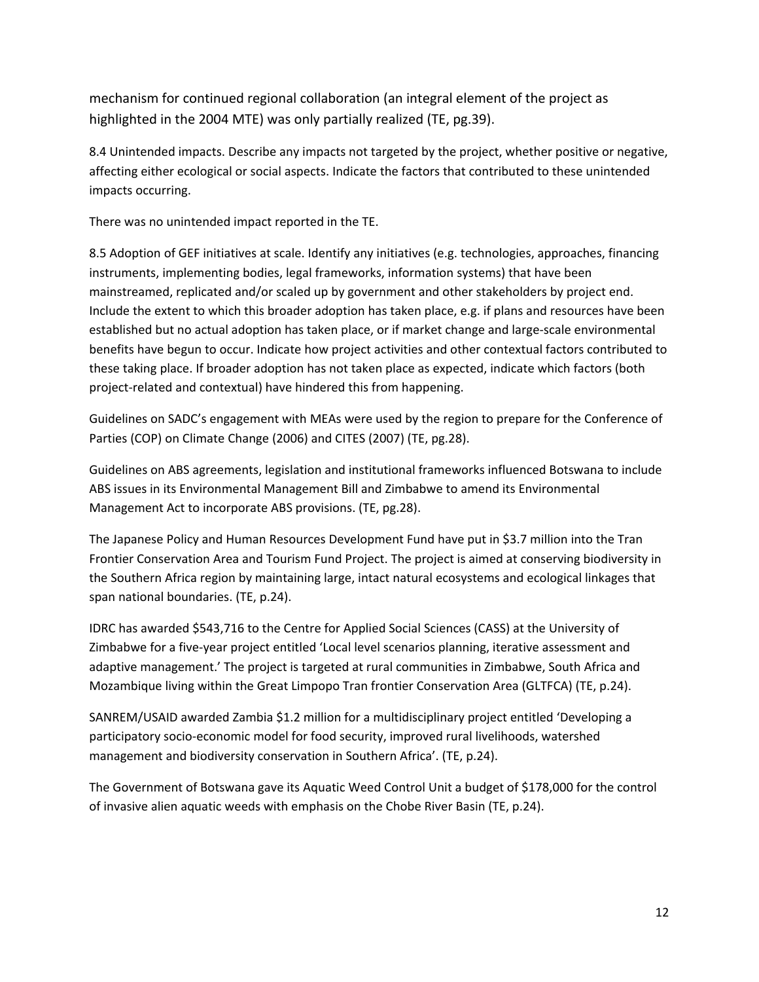mechanism for continued regional collaboration (an integral element of the project as highlighted in the 2004 MTE) was only partially realized (TE, pg.39).

8.4 Unintended impacts. Describe any impacts not targeted by the project, whether positive or negative, affecting either ecological or social aspects. Indicate the factors that contributed to these unintended impacts occurring.

There was no unintended impact reported in the TE.

8.5 Adoption of GEF initiatives at scale. Identify any initiatives (e.g. technologies, approaches, financing instruments, implementing bodies, legal frameworks, information systems) that have been mainstreamed, replicated and/or scaled up by government and other stakeholders by project end. Include the extent to which this broader adoption has taken place, e.g. if plans and resources have been established but no actual adoption has taken place, or if market change and large-scale environmental benefits have begun to occur. Indicate how project activities and other contextual factors contributed to these taking place. If broader adoption has not taken place as expected, indicate which factors (both project-related and contextual) have hindered this from happening.

Guidelines on SADC's engagement with MEAs were used by the region to prepare for the Conference of Parties (COP) on Climate Change (2006) and CITES (2007) (TE, pg.28).

Guidelines on ABS agreements, legislation and institutional frameworks influenced Botswana to include ABS issues in its Environmental Management Bill and Zimbabwe to amend its Environmental Management Act to incorporate ABS provisions. (TE, pg.28).

The Japanese Policy and Human Resources Development Fund have put in \$3.7 million into the Tran Frontier Conservation Area and Tourism Fund Project. The project is aimed at conserving biodiversity in the Southern Africa region by maintaining large, intact natural ecosystems and ecological linkages that span national boundaries. (TE, p.24).

IDRC has awarded \$543,716 to the Centre for Applied Social Sciences (CASS) at the University of Zimbabwe for a five-year project entitled 'Local level scenarios planning, iterative assessment and adaptive management.' The project is targeted at rural communities in Zimbabwe, South Africa and Mozambique living within the Great Limpopo Tran frontier Conservation Area (GLTFCA) (TE, p.24).

SANREM/USAID awarded Zambia \$1.2 million for a multidisciplinary project entitled 'Developing a participatory socio-economic model for food security, improved rural livelihoods, watershed management and biodiversity conservation in Southern Africa'. (TE, p.24).

The Government of Botswana gave its Aquatic Weed Control Unit a budget of \$178,000 for the control of invasive alien aquatic weeds with emphasis on the Chobe River Basin (TE, p.24).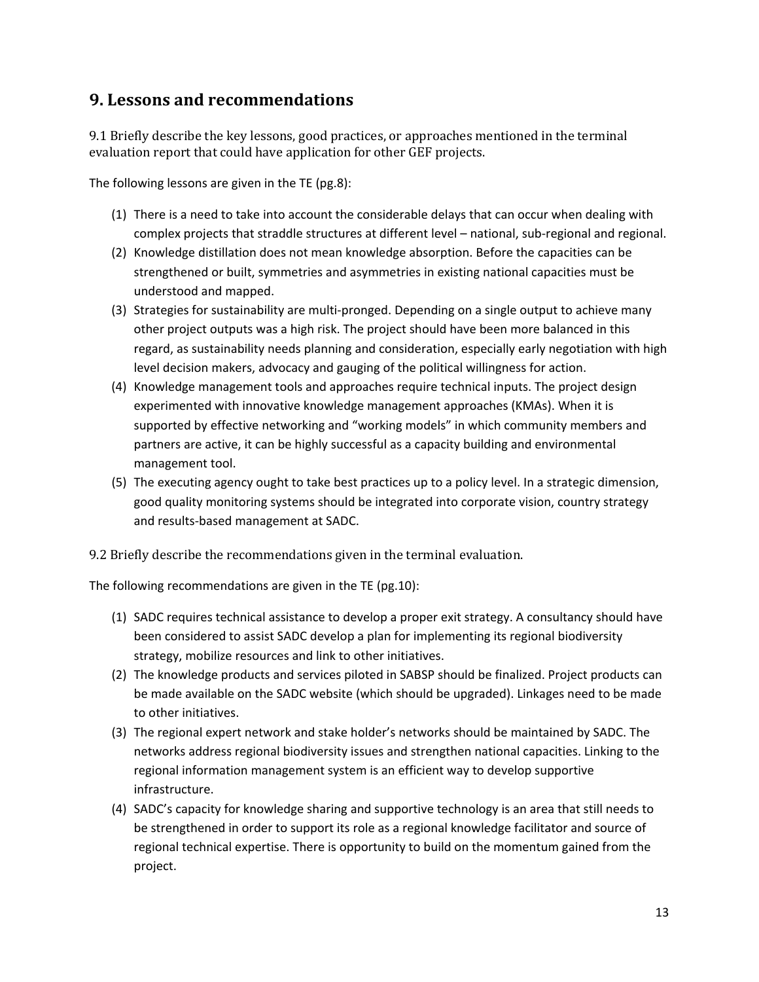### **9. Lessons and recommendations**

9.1 Briefly describe the key lessons, good practices, or approaches mentioned in the terminal evaluation report that could have application for other GEF projects.

The following lessons are given in the TE (pg.8):

- (1) There is a need to take into account the considerable delays that can occur when dealing with complex projects that straddle structures at different level – national, sub-regional and regional.
- (2) Knowledge distillation does not mean knowledge absorption. Before the capacities can be strengthened or built, symmetries and asymmetries in existing national capacities must be understood and mapped.
- (3) Strategies for sustainability are multi-pronged. Depending on a single output to achieve many other project outputs was a high risk. The project should have been more balanced in this regard, as sustainability needs planning and consideration, especially early negotiation with high level decision makers, advocacy and gauging of the political willingness for action.
- (4) Knowledge management tools and approaches require technical inputs. The project design experimented with innovative knowledge management approaches (KMAs). When it is supported by effective networking and "working models" in which community members and partners are active, it can be highly successful as a capacity building and environmental management tool.
- (5) The executing agency ought to take best practices up to a policy level. In a strategic dimension, good quality monitoring systems should be integrated into corporate vision, country strategy and results-based management at SADC.

9.2 Briefly describe the recommendations given in the terminal evaluation.

The following recommendations are given in the TE (pg.10):

- (1) SADC requires technical assistance to develop a proper exit strategy. A consultancy should have been considered to assist SADC develop a plan for implementing its regional biodiversity strategy, mobilize resources and link to other initiatives.
- (2) The knowledge products and services piloted in SABSP should be finalized. Project products can be made available on the SADC website (which should be upgraded). Linkages need to be made to other initiatives.
- (3) The regional expert network and stake holder's networks should be maintained by SADC. The networks address regional biodiversity issues and strengthen national capacities. Linking to the regional information management system is an efficient way to develop supportive infrastructure.
- (4) SADC's capacity for knowledge sharing and supportive technology is an area that still needs to be strengthened in order to support its role as a regional knowledge facilitator and source of regional technical expertise. There is opportunity to build on the momentum gained from the project.